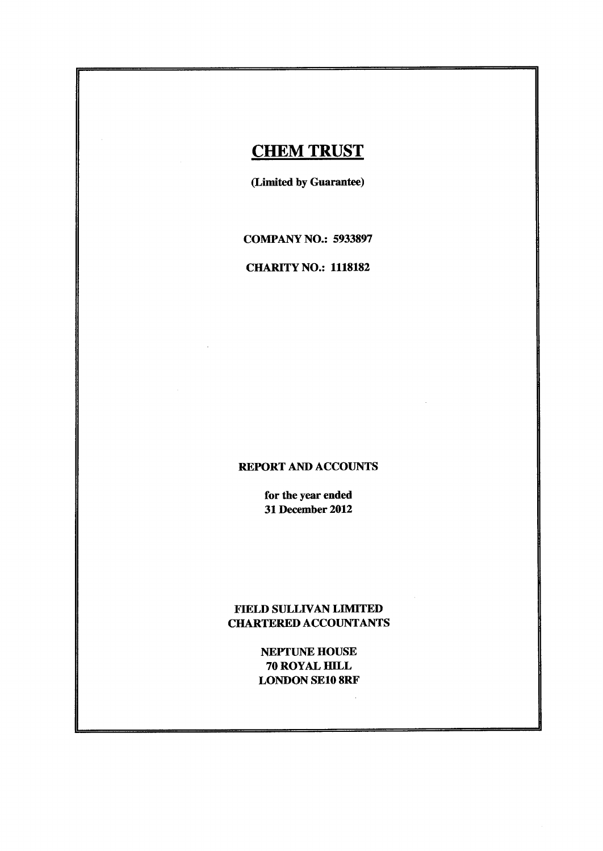# **CHEM TRUST**

(Limited by Guarantee)

COMPANY NO.: <sup>5933897</sup>

CHARITY NO.: <sup>1118182</sup>

### REPORT AND ACCOUNTS

for the year ended 31December 2012

## FIELD SULLIVAN LIMITED CHARTERED ACCOUNTANTS

NEPTUNE HOUSE 70 ROYAL HILL LONDON SE108RF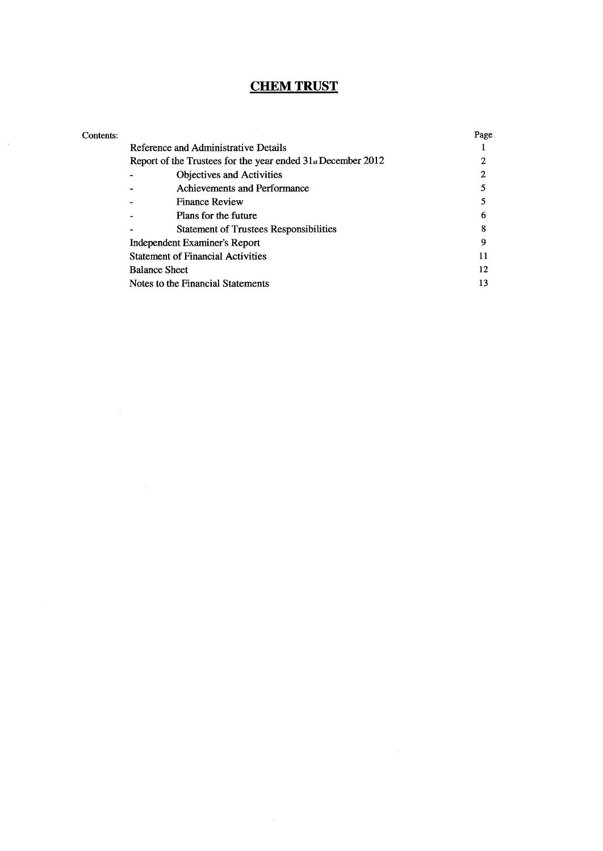# **CHEM TRUST**

 $\mathcal{L}_{\mathrm{max}}$ 

| Contents: |                                                              | Page |
|-----------|--------------------------------------------------------------|------|
|           | Reference and Administrative Details                         |      |
|           | Report of the Trustees for the year ended 31st December 2012 |      |
|           | <b>Objectives and Activities</b>                             |      |
|           | Achievements and Performance                                 |      |
|           | <b>Finance Review</b>                                        |      |
|           | Plans for the future                                         | 6    |
|           | <b>Statement of Trustees Responsibilities</b>                | 8    |
|           | Independent Examiner's Report                                | Q    |
|           | <b>Statement of Financial Activities</b>                     | 11   |
|           | <b>Balance Sheet</b>                                         | 12   |
|           | Notes to the Financial Statements                            | 13   |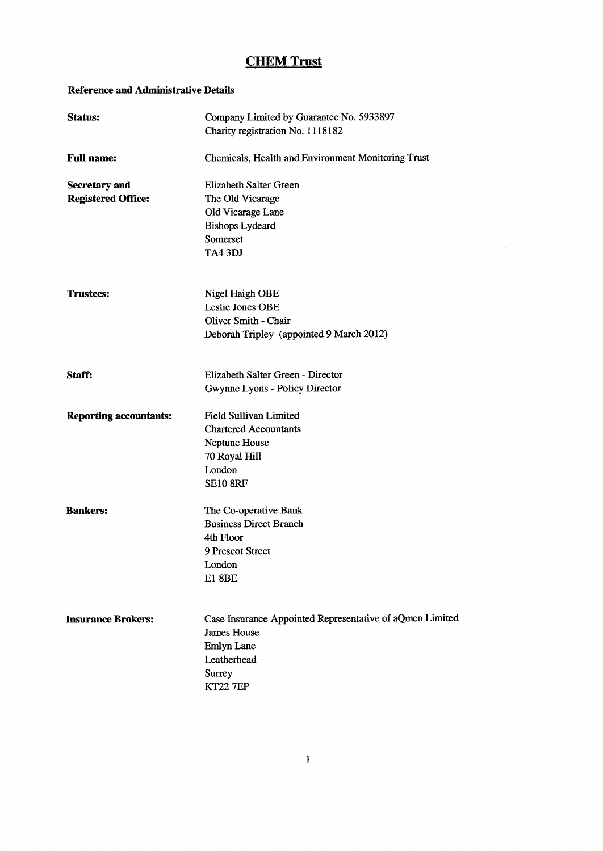$\sim 10$ 

### Reference and Administrative Details

| Status:                       | Company Limited by Guarantee No. 5933897<br>Charity registration No. 1118182 |
|-------------------------------|------------------------------------------------------------------------------|
| <b>Full name:</b>             | Chemicals, Health and Environment Monitoring Trust                           |
| <b>Secretary and</b>          | <b>Elizabeth Salter Green</b>                                                |
| <b>Registered Office:</b>     | The Old Vicarage                                                             |
|                               | Old Vicarage Lane                                                            |
|                               | <b>Bishops Lydeard</b>                                                       |
|                               | Somerset                                                                     |
|                               | TA4 3DJ                                                                      |
| <b>Trustees:</b>              | Nigel Haigh OBE                                                              |
|                               | Leslie Jones OBE                                                             |
|                               | Oliver Smith - Chair                                                         |
|                               | Deborah Tripley (appointed 9 March 2012)                                     |
| Staff:                        | Elizabeth Salter Green - Director                                            |
|                               | Gwynne Lyons - Policy Director                                               |
| <b>Reporting accountants:</b> | <b>Field Sullivan Limited</b>                                                |
|                               | <b>Chartered Accountants</b>                                                 |
|                               | Neptune House                                                                |
|                               | 70 Royal Hill                                                                |
|                               | London<br><b>SE10 8RF</b>                                                    |
| <b>Bankers:</b>               | The Co-operative Bank                                                        |
|                               | <b>Business Direct Branch</b>                                                |
|                               | 4th Floor                                                                    |
|                               | 9 Prescot Street                                                             |
|                               | London                                                                       |
|                               | <b>E1 8BE</b>                                                                |
| <b>Insurance Brokers:</b>     | Case Insurance Appointed Representative of aQmen Limited                     |
|                               | <b>James House</b>                                                           |
|                               | <b>Emlyn Lane</b>                                                            |
|                               | Leatherhead                                                                  |
|                               | Surrey                                                                       |
|                               | <b>KT22 7EP</b>                                                              |
|                               |                                                                              |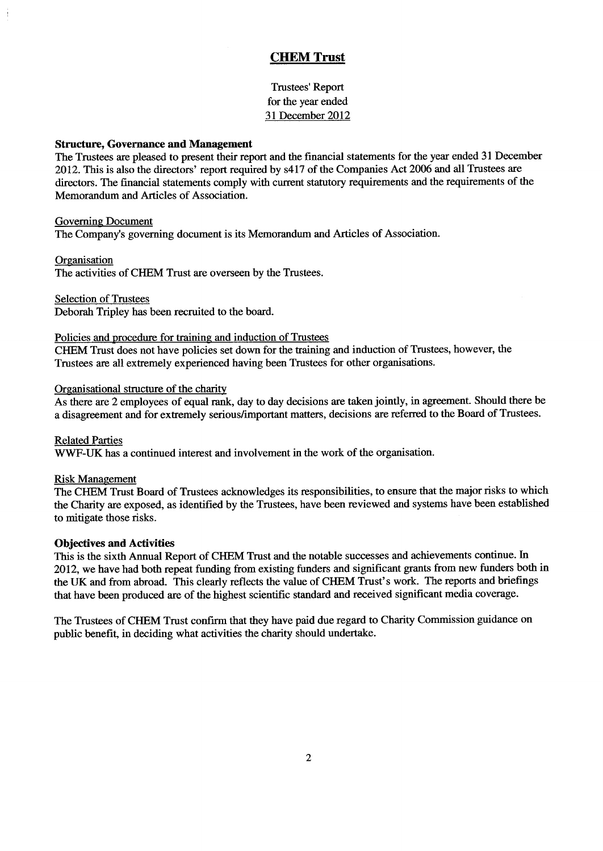Trustees' Report for the year ended 31 December 2012

### Structure, Governance and Management

The Trustees are pleased to present their report and the financial statements for the year ended 31 December 2012. This is also the directors' report required by s417 of the Companies Act 2006 and all Trustees are directors. The financial statements comply with current statutory requirements and the requirements of the Memorandum and Articles of Association.

### Governing Document

The Company's governing document is its Memorandum and Articles of Association.

### **Organisation**

The activities of CHEM Trust are overseen by the Trustees.

Selection of Trustees

Deborah Tripley has been recruited to the board.

### Policies and procedure for training and induction of Trustees

CHEM Trust does not have policies set down for the training and induction of Trustees, however, the Trustees are all extremely experienced having been Trustees for other organisations.

### Organisational structure of the charity

As there are 2 employees of equal rank, day to day decisions are taken jointly, in agreement. Should there be a disagreement and for extremely serious/important matters, decisions are referred to the Board of Trustees.

Related Parties WWF-UK has a continued interest and involvement in the work of the organisation.

### **Risk Management**

The CHEM Trust Board of Trustees acknowledges its responsibilities, to ensure that the major risks to which the Charity are exposed, as identified by the Trustees, have been reviewed and systems have been established to mitigate those risks.

### Objectives and Activities

This is the sixth Annual Report of CHEM Trust and the notable successes and achievements continue. In 2012, we have had both repeat funding from existing funders and significant grants from new funders both in the UK and from abroad. This clearly reflects the value of CHEM Trust's work. The reports and briefings that have been produced are of the highest scientific standard and received significant media coverage.

The Trustees of CHEM Trust confirm that they have paid due regard to Charity Commission guidance on public benefit, in deciding what activities the charity should undertake.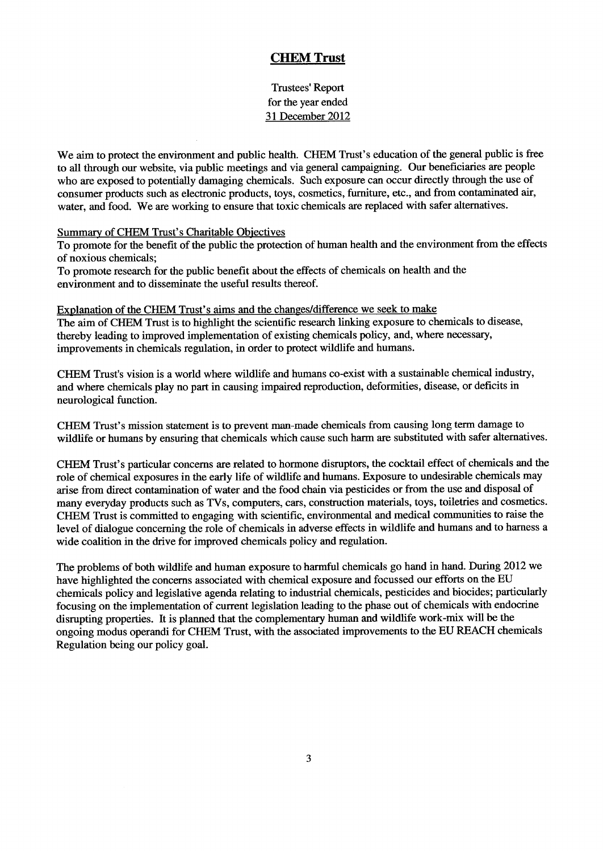Trustees' Report for the year ended 31 December 2012

We aim to protect the environment and public health. CHEM Trust's education of the general public is free to all through our website, via public meetings and via general campaigning. Our beneficiaries are people who are exposed to potentially damaging chemicals. Such exposure can occur directly through the use of consumer products such as electronic products, toys, cosmetics, furniture, etc., and from contaminated air, water, and food. We are working to ensure that toxic chemicals are replaced with safer alternatives.

### Summary of CHEM Trust's Charitable Objectives

To promote for the benefit of the public the protection of human health and the environment from the effects of noxious chemicals;

To promote research for the public benefit about the effects of chemicals on health and the environment and to disseminate the useful results thereof.

Explanation of the CHEM Trust's aims and the changes/difference we seek to make The aim of CHEM Trust is to highlight the scientific research linking exposure to chemicals to disease, thereby leading to improved implementation of existing chemicals policy, and, where necessary, improvements in chemicals regulation, in order to protect wildlife and humans.

CHEM Trust's vision is a world where wildlife and humans co-exist with a sustainable chemical industry, and where chemicals play no part in causing impaired reproduction, deformities, disease, or deficits in neurological function.

CHEM Trust's mission statement is to prevent man-made chemicals from causing long term damage to wildlife or humans by ensuring that chemicals which cause such harm are substituted with safer alternatives.

CHEM Trust's particular concerns are related to hormone disruptors, the cocktail effect of chemicals and the role of chemical exposures in the early life of wildlife and humans. Exposure to undesirable chemicals may arise from direct contamination of water and the food chain via pesticides or from the use and disposal of many everyday products such as TVs, computers, cars, construction materials, toys, toiletries and cosmetics. CHEM Trust is committed to engaging with scientific, environmental and medical communities to raise the level of dialogue concerning the role of chemicals in adverse effects in wildlife and humans and to harness a wide coalition in the drive for improved chemicals policy and regulation.

The problems of both wildlife and human exposure to harmful chemicals go hand in hand. During 2012 we have highlighted the concerns associated with chemical exposure and focussed our efforts on the EU chemicals policy and legislative agenda relating to industrial chemicals, pesticides and biocides; particularly focusing on the implementation of current legislation leading to the phase out of chemicals with endocrine disrupting properties. It is planned that the complementary human and wildlife work-mix will be the ongoing modus operandi for CHEM Trust, with the associated improvements to the EU REACH chemicals Regulation being our policy goal.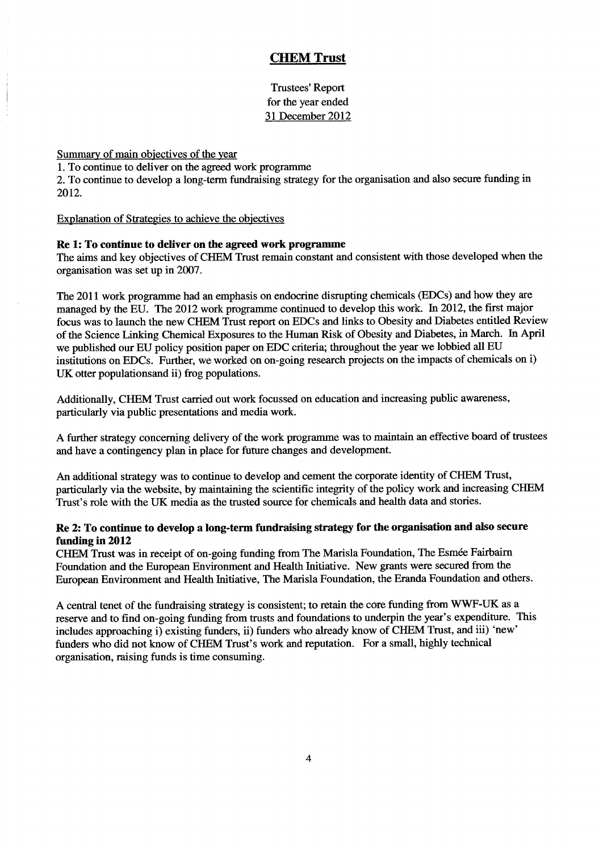Trustees' Report for the year ended 31 December 2012

Summary of main objectives of the year

1.To continue to deliver on the agreed work programme

2. To continue to develop a long-term fundraising strategy for the organisation and also secure funding in 2012.

Explanation of Strategies to achieve the objectives

### Re 1:To continue to deliver on the agreed work programme

The aims and key objectives of CHEM Trust remain constant and consistent with those developed when the organisation was set up in 2007.

The 2011 work programme had an emphasis on endocrine disrupting chemicals (EDCs) and how they are managed by the EU. The 2012 work programme continued to develop this work. In 2012, the first major focus was to launch the new CHEM Trust report on EDCs and links to Obesity and Diabetes entitled Review of the Science Linking Chemical Exposures to the Human Risk of Obesity and Diabetes, in March. In April we published our EU policy position paper on EDC criteria; throughout the year we lobbied all EU institutions on EDCs. Further, we worked on on-going research projects on the impacts of chemicals on i) UK otter populationsand ii) frog populations.

Additionally, CHEM Trust carried out work focussed on education and increasing public awareness, particularly via public presentations and media work.

A further strategy concerning delivery of the work programme was to maintain an effective board of trustees and have a contingency plan in place for future changes and development.

An additional strategy was to continue to develop and cement the corporate identity of CHEM Trust, particularly via the website, by maintaining the scientific integrity of the policy work and increasing CHEM Trust's role with the UK media as the trusted source for chemicals and health data and stories.

### Re 2: To continue to develop a long-term fundraising strategy for the organisation and also secure funding in 2012

CHEM Trust was in receipt of on-going funding from The Marisla Foundation, The Esmee Fairbairn Foundation and the European Environment and Health Initiative. New grants were secured from the European Environment and Health Initiative, The Marisla Foundation, the Eranda Foundation and others.

A central tenet of the fundraising strategy is consistent; to retain the core funding from WWF-UK as a reserve and to find on-going funding from trusts and foundations to underpin the year's expenditure. This includes approaching i) existing funders, ii) funders who already know of CHEM Trust, and iii) 'new' funders who did not know of CHEM Trust's work and reputation. For a small, highly technical organisation, raising funds is time consuming.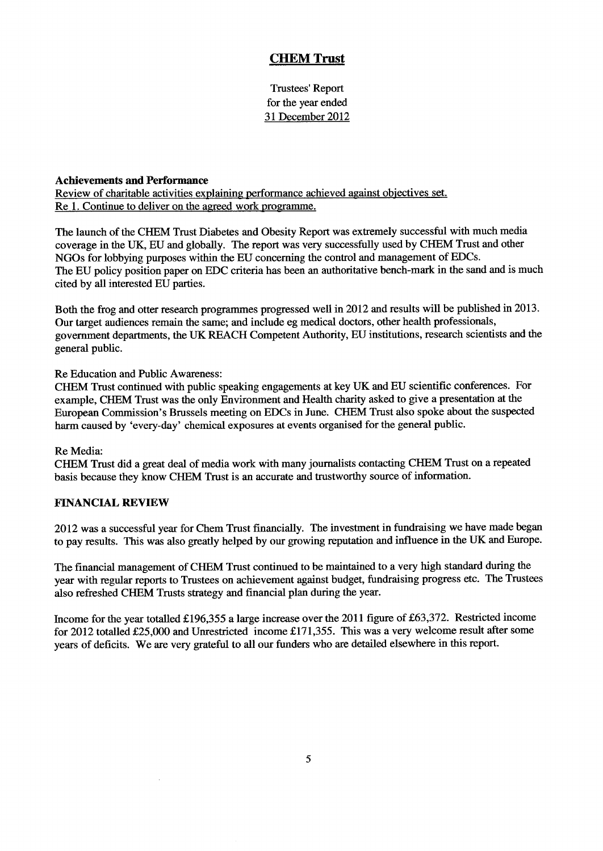Trustees' Report for the year ended 31 December 2012

### Achievements and Performance

Review of charitable activities explaining performance achieved against objectives set. Re 1. Continue to deliver on the agreed work programme.

The launch of the CHEM Trust Diabetes and Obesity Report was extremely successful with much media coverage in the UK, EU and globally. The report was very successfully used by CHEM Trust and other NGOs for lobbying purposes within the EU concerning the control and management of EDCs. The EU policy position paper on EDC criteria has been an authoritative bench-mark in the sand and is much cited by all interested EU parties.

Both the frog and otter research programmes progressed well in 2012 and results will be published in 2013. Our target audiences remain the same; and include eg medical doctors, other health professionals, government departments, the UK REACH Competent Authority, EU institutions, research scientists and the general public.

Re Education and Public Awareness:

 $\bar{z}$ 

CHEM Trust continued with public speaking engagements at key UK and EU scientific conferences. For example, CHEM Trust was the only Environment and Health charity asked to give a presentation at the European Commission's Brussels meeting on EDCs in June. CHEM Trust also spoke about the suspected harm caused by 'every-day' chemical exposures at events organised for the general public.

### Re Media:

CHEM Trust did a great deal of media work with many journalists contacting CHEM Trust on a repeated basis because they know CHEM Trust is an accurate and trustworthy source of information.

### FINANCIAL REVIEW

2012 was a successful year for Chem Trust financially. The investment in fundraising we have made began to pay results. This was also greatly helped by our growing reputation and influence in the UK and Europe.

The financial management of CHEM Trust continued to be maintained to a very high standard during the year with regular reports to Trustees on achievement against budget, fundraising progress etc. The Trustees also refreshed CHEM Trusts strategy and Gnancial plan during the year.

Income for the year totalled £196,355 a large increase over the 2011 figure of £63,372. Restricted income for 2012 totalled £25,000 and Unrestricted income £171,355. This was a very welcome result after some years of deficits. We are very grateful to all our funders who are detailed elsewhere in this report.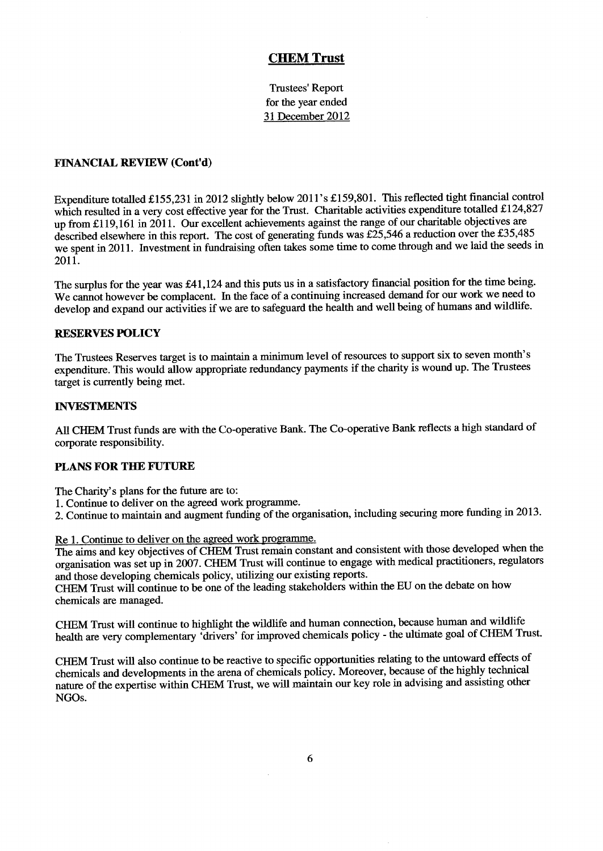Trustees' Report for the year ended 31 December 2012

### FINANCIAL REVIEW (Cont'd)

Expenditure totalled £155,231 in 2012 slightly below 2011's £159,801. This reflected tight financial control which resulted in a very cost effective year for the Trust. Charitable activities expenditure totalled £124,827 up from f119,161 in 2011. Our excellent achievements against the range of our charitable objectives are described elsewhere in this report. The cost of generating funds was  $\pounds25,546$  a reduction over the £35,485 we spent in 2011. Investment in fundraising often takes some time to come through and we laid the seeds in 2011.

The surplus for the year was £41,124 and this puts us in a satisfactory financial position for the time being. We cannot however be complacent. In the face of a continuing increased demand for our work we need to develop and expand our activities if we are to safeguard the health and well being of humans and wildlife.

### **RESERVES POLICY**

The Trustees Reserves target is to maintain a minimum level of resources to support six to seven month's expenditure. This would allow appropriate redundancy payments if the charity is wound up. The Trustees target is currently being met.

### INVESTMENTS

All CHEM Trust funds are with the Co-operative Bank. The Co-operative Bank reflects <sup>a</sup> high standard of corporate responsibility.

### PLANS FOR THE FUTURE

The Charity's plans for the future are to:

- 1.Continue to deliver on the agreed work programme.
- 2. Continue to maintain and augment funding of the organisation, including securing more funding in 2013.

### Re 1. Continue to deliver on the agreed work programme.

The aims and key objectives of CHEM Trust remain constant and consistent with those developed when the organisation was set up in 2007. CHEM Trust will continue to engage with medical practitioners, regulators and those developing chemicals policy, utilizing our existing reports.

CHEM Trust will continue to be one of the leading stakeholders within the EU on the debate on how chemicals are managed.

CHEM Trust will continue to highlight the wildlife and human connection, because human and wildlife health are very complementary 'drivers' for improved chemicals policy - the ultimate goal of CHEM Trust.

CHEM Trust will also continue to be reactive to specific opportunities relating to the untoward effects of chemicals and developments in the arena of chemicals policy. Moreover, because of the highly technical nature of the expertise within CHEM Trust, we will maintain our key role in advising and assisting other NGOs.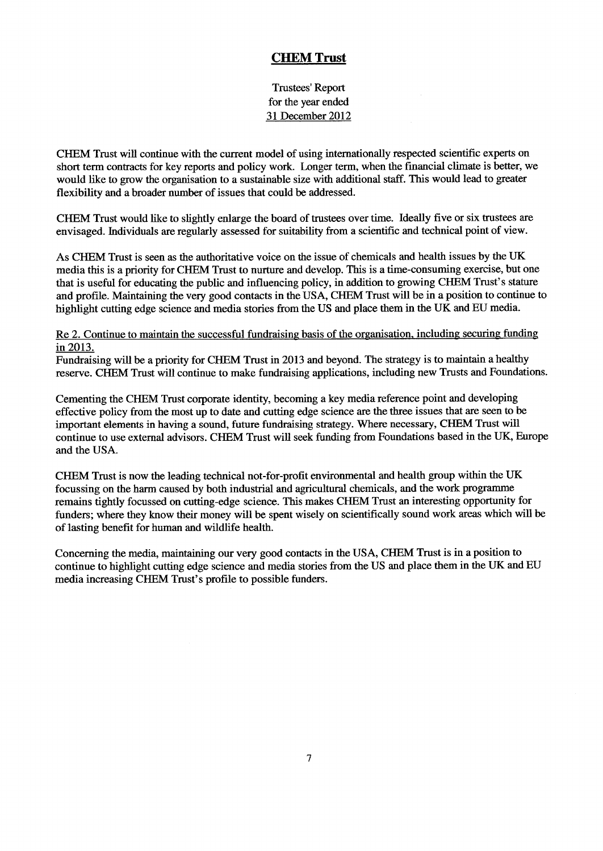Trustees' Report for the year ended 31 December 2012

CHEM Trust will continue with the current model of using internationally respected scientific experts on short term contracts for key reports and policy work. Longer term, when the financial climate is better, we would like to grow the organisation to a sustainable size with additional staff. This would lead to greater flexibility and a broader number of issues that could be addressed.

CHEM Trust would like to slightly enlarge the board of trustees over time. Ideally five or six trustees are envisaged. Individuals are regularly assessed for suitability from a scientific and technical point of view.

As CHEM Trust is seen as the authoritative voice on the issue of chemicals and health issues by the UK media this is a priority for CHEM Trust to nurture and develop. This is a time-consuming exercise, but one that is useful for educating the public and influencing policy, in addition to growing CHEM Trust's stature and profile. Maintaining the very good contacts in the USA, CHEM Trust will be in a position to continue to highlight cutting edge science and media stories from the US and place them in the UK and EU media.

### Re 2. Continue to maintain the successful fundraising basis of the organisation, including securing funding in 2013.

Fundraising will be a priority for CHEM Trust in 2013 and beyond. The strategy is to maintain a healthy reserve. CHEM Trust will continue to make fundraising applications, including new Trusts and Foundations.

Cementing the CHEM Trust corporate identity, becoming a key media reference point and developing effective policy from the most up to date and cutting edge science are the three issues that are seen to be important elements in having a sound, future fundraising strategy. Where necessary, CHEM Trust will continue to use external advisors. CHEM Trust will seek funding from Foundations based in the UK, Europe and the USA.

CHEM Trust is now the leading technical not-for-profit environmental and health group within the UK focussing on the harm caused by both industrial and agricultural chemicals, and the work programme remains tightly focussed on cutting-edge science. This makes CHEM Trust an interesting opportunity for funders; where they know their money will be spent wisely on scientifically sound work areas which will be of lasting benefit for human and wildlife health.

Concerning the media, maintaining our very good contacts in the USA, CHEM Trust is in a position to continue to highlight cutting edge science and media stories from the US and place them in the UK and EU media increasing CHEM Trust's profile to possible funders.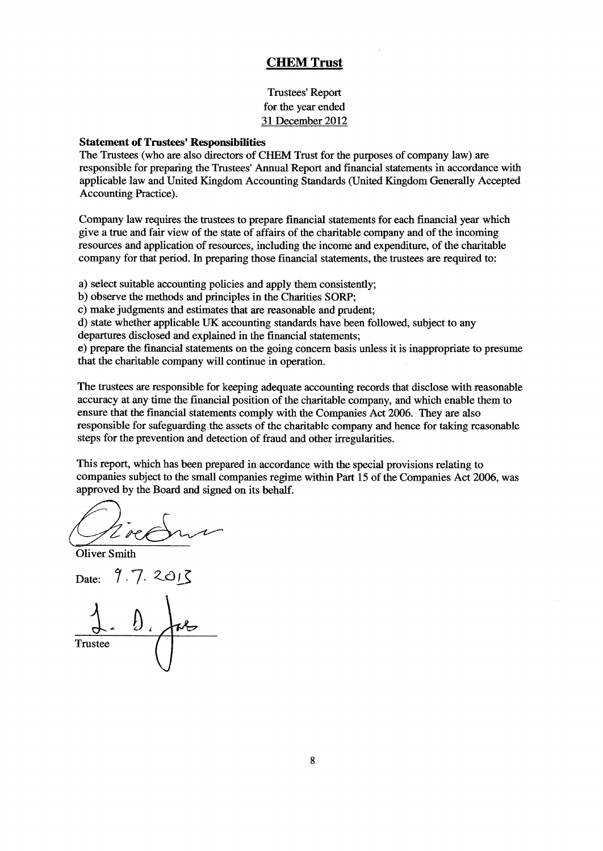Trustees' Report for the year ended 31 December 2012

### Statement of Trustees' Responsibilities

The Trustees (who are also directors of CHEM Trust for the purposes of company law) are responsible for preparing the Trustees' Annual Report and financial statements in accordance with applicable law and United Kingdom Accounting Standards (United Kingdom Generally Accepted Accounting Practice).

Company law requires the trustees to prepare financial statements for each financial year which give a true and fair view of the state of affairs of the charitable company and of the incoming resources and application of resources, including the income and expenditure, of the charitable company for that period. In preparing those financial statements, the trustees are required to:

a) select suitable accounting policies and apply them consistently;

b) observe the methods and principles in the Charities SORP;

c) make judgments and estimates that are reasonable and prudent;

d) state whether applicable UK accounting standards have been followed, subject to any

departures disclosed and explained in the financial statements;

e) prepare the financial statements on the going concern basis unless it is inappropriate to presume that the charitable company will continue in operation.

The trustees are responsible for keeping adequate accounting records that disclose with reasonable acciu acy at any time the financial position of the charitable company, and which enable them to ensure that the financial statements comply with the Companies Act 2006. They are also responsible for safeguarding the assets of the charitable company and hence for taking reasonable steps for the prevention and detection of fraud and other irregularities.

This report, which has been prepared in accordance with the special provisions relating to companies subject to the small companies regime within Part 15 of the Companies Act 2006, was approved by the Board and signed on its behalf.

Oliver Smith

Date:

**Trustee**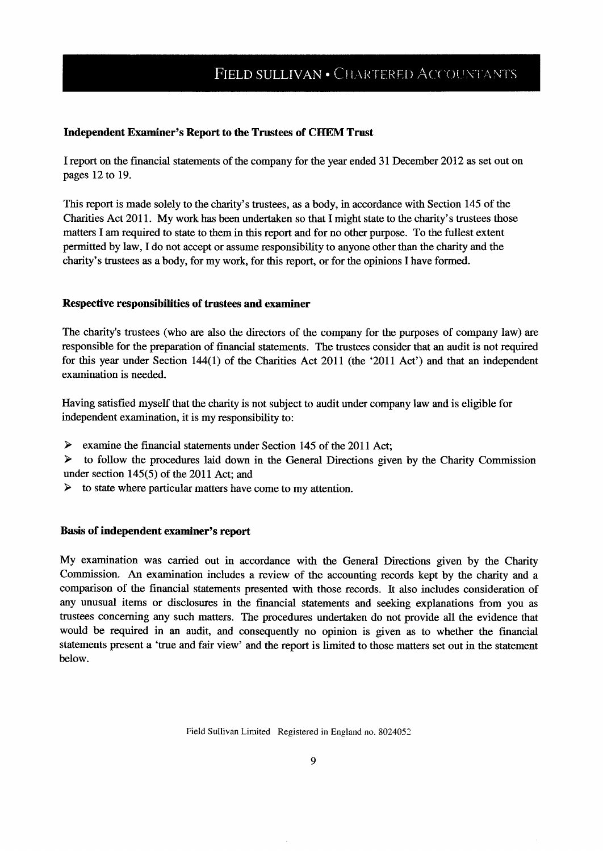### Independent Examiner's Report to the Trustees of CHEM Trust

I report on the financial statements of the company for the year ended 31 December 2012 as set out on pages 12 to 19.

This report is made solely to the charity's trustees, as a body, in accordance with Section 145 of the Charities Act 2011. My work has been undertaken so that I might state to the charity's trustees those matters I am required to state to them in this report and for no other purpose. To the fullest extent permitted by law, I do not accept or assume responsibility to anyone other than the charity and the charity's trustees as a body, for my work, for this report, or for the opinions I have formed.

### Respective responsibiiities of trustees and examiner

The charity's trustees (who are also the directors of the company for the purposes of company law) are responsible for the preparation of financial statements. The trustees consider that an audit is not required for this year under Section 144(1) of the Charities Act 2011 (the '2011 Act') and that an independent examination is needed.

Having satisfied myself that the charity is not subject to audit under company law and is eligible for independent examination, it is my responsibility to:

➤ examine the financial statements under Section 145 of the 2011 Act;

 $\blacktriangleright$ to follow the procedures laid down in the General Directions given by the Charity Commission under section 145(5) of the 2011 Act; and

 $\blacktriangleright$ to state where particular matters have come to my attention.

### Basis of independent examiner's report

My examination was carried out in accordance with the General Directions given by the Charity Commission. An examination includes a review of the accounting records kept by the charity and a comparison of the financial statements presented with those records. It also includes consideration of any unusual items or disclosures in the financial statements and seeking explanations from you as trustees concerning any such matters. The procedures undertaken do not provide all the evidence that would be required in an audit, and consequently no opinion is given as to whether the financial statements present a 'true and fair view' and the report is limited to those matters set out in the statement below.

Field Sullivan Limited Registered in England no. 8024052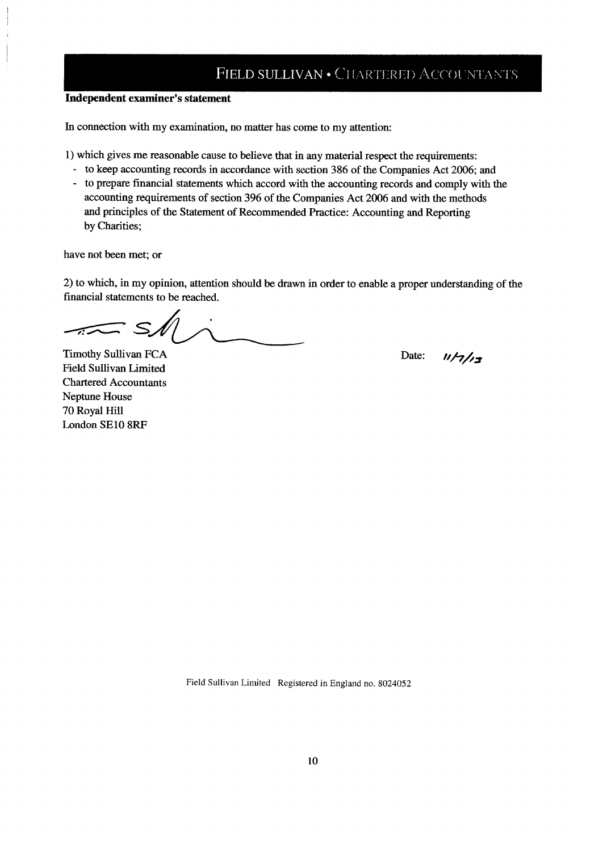## FIELD SULLIVAN . CHARTERED ACCOUNTANTS

### Independent examiner's statement

In connection with my examination, no matter has come to my attention:

1) which gives me reasonable cause to believe that in any material respect the requirements:

- to keep accounting records in accordance with section 386 of the Companies Act 2006; and
- to prepare financial statements which accord with the accounting records and comply with the accounting requirements of section 396 of the Companies Act 2006 and with the methods and principles of the Statement of Recommended Practice: Accounting and Reporting by Charities;

have not been met; or

2) to which, in my opinion, attention should be drawn in order to enable a proper understanding of the financial statements to be reached.

 $-*i*$ 

Timothy Sullivan FCA Field Sullivan Limited Chartered Accountants Neptune House 70 Royal Hill London SE10 8RF

Date:  $n/7/7/7$ 

Field Sullivan Limited Registered in England no. 8024052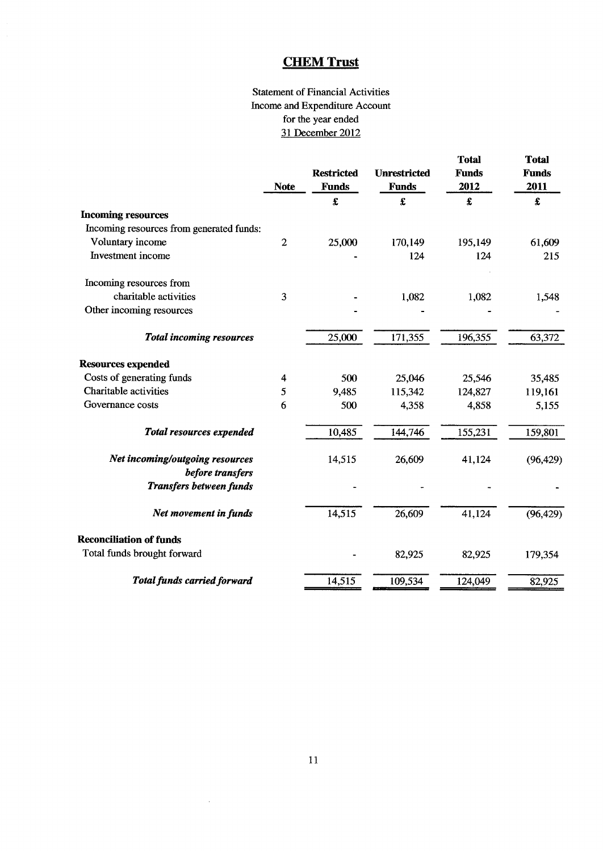## Statement of Financial Activities Income and Expenditure Account for the year ended 31 December 2012

|                                                     | <b>Note</b>      | <b>Restricted</b><br><b>Funds</b> | <b>Unrestricted</b><br><b>Funds</b> | <b>Total</b><br><b>Funds</b><br>2012 | <b>Total</b><br><b>Funds</b><br>2011 |
|-----------------------------------------------------|------------------|-----------------------------------|-------------------------------------|--------------------------------------|--------------------------------------|
|                                                     |                  | £                                 | £                                   | £                                    | £                                    |
| <b>Incoming resources</b>                           |                  |                                   |                                     |                                      |                                      |
| Incoming resources from generated funds:            |                  |                                   |                                     |                                      |                                      |
| Voluntary income                                    | $\boldsymbol{2}$ | 25,000                            | 170,149                             | 195,149                              | 61,609                               |
| Investment income                                   |                  |                                   | 124                                 | 124                                  | 215                                  |
| Incoming resources from                             |                  |                                   |                                     |                                      |                                      |
| charitable activities                               | 3                |                                   | 1,082                               | 1,082                                | 1,548                                |
| Other incoming resources                            |                  |                                   |                                     |                                      |                                      |
| <b>Total incoming resources</b>                     |                  | 25,000                            | 171,355                             | 196,355                              | 63,372                               |
| <b>Resources expended</b>                           |                  |                                   |                                     |                                      |                                      |
| Costs of generating funds                           | 4                | 500                               | 25,046                              | 25,546                               | 35,485                               |
| Charitable activities                               | 5                | 9,485                             | 115,342                             | 124,827                              | 119,161                              |
| Governance costs                                    | 6                | 500                               | 4,358                               | 4,858                                | 5,155                                |
| Total resources expended                            |                  | 10,485                            | 144,746                             | 155,231                              | 159,801                              |
| Net incoming/outgoing resources<br>before transfers |                  | 14,515                            | 26,609                              | 41,124                               | (96, 429)                            |
| <b>Transfers between funds</b>                      |                  |                                   |                                     |                                      |                                      |
| Net movement in funds                               |                  | 14,515                            | 26,609                              | 41,124                               | (96, 429)                            |
| <b>Reconciliation of funds</b>                      |                  |                                   |                                     |                                      |                                      |
| Total funds brought forward                         |                  |                                   | 82,925                              | 82,925                               | 179,354                              |
| Total funds carried forward                         |                  | 14,515                            | 109,534                             | 124,049                              | 82,925                               |

 $\bar{z}$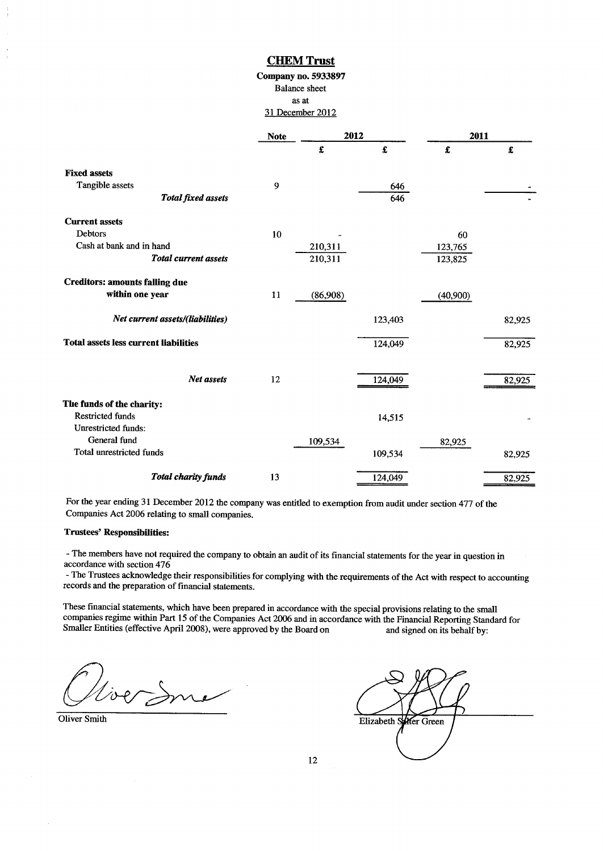### Company no. 5933897 Balance sheet as at 31 December 2012

|                                              | <b>Note</b> |          | 2012    | 2011     |        |
|----------------------------------------------|-------------|----------|---------|----------|--------|
|                                              |             | £        | £       | £        | £      |
| <b>Fixed assets</b>                          |             |          |         |          |        |
| Tangible assets                              | 9           |          | 646     |          |        |
| <b>Total fixed assets</b>                    |             |          | 646     |          |        |
| <b>Current assets</b>                        |             |          |         |          |        |
| <b>Debtors</b>                               | 10          |          |         | 60       |        |
| Cash at bank and in hand                     |             | 210,311  |         | 123,765  |        |
| <b>Total current assets</b>                  |             | 210,311  |         | 123,825  |        |
| <b>Creditors: amounts falling due</b>        |             |          |         |          |        |
| within one year                              | 11          | (86,908) |         | (40,900) |        |
| Net current assets/(liabilities)             |             |          | 123,403 |          | 82,925 |
| <b>Total assets less current liabilities</b> |             |          | 124,049 |          | 82,925 |
| Net assets                                   | 12          |          | 124,049 |          | 82,925 |
| The funds of the charity:                    |             |          |         |          |        |
| <b>Restricted funds</b>                      |             |          |         |          |        |
| <b>Unrestricted funds:</b>                   |             |          | 14,515  |          |        |
| General fund                                 |             | 109,534  |         |          |        |
| <b>Total unrestricted funds</b>              |             |          |         | 82,925   |        |
|                                              |             |          | 109,534 |          | 82,925 |
| Total charity funds                          | 13          |          | 124,049 |          | 82,925 |

For the year ending 31 December 2012 the company was entitled to exemption from audit under section 477 of the Companies Act 2006 relating to small companies.

### Trustees' Responsibilities:

- The members have not required the company to obtain an audit of its financial statements for the year in question in accordance with section 476

- The Trustees acknowledge their responsibilities for complying with the requirements of the Act with respect to accounting records and the preparation of financial statements.

These financial statements, which have been prepared in accordance with the special provisions relating to the small companies regime within Part 15 of the Companies Act 2006 and in accordance with the Financial Reporting Standard for<br>Smaller Entities (effective April 2008), were approved by the Board on and signed on its behalf by: Smaller Entities (effective April 2008), were approved by the Board on

VoerSme

Oliver Smith Elizabeth Street Green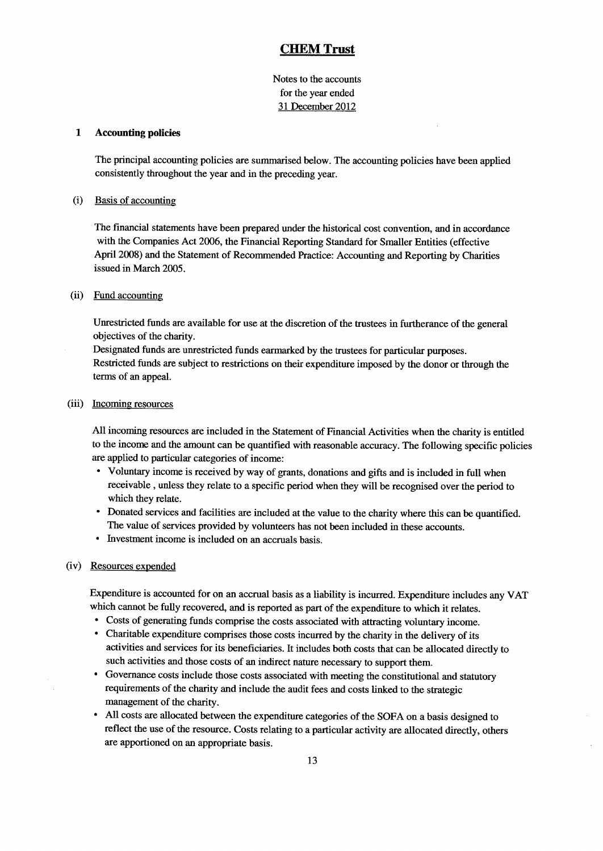Notes to the accounts for the year ended 31 December 2012

#### 1 Accounting policies

The principal accounting policies are summarised below. The accounting policies have been applied consistently throughout the year and in the preceding year.

#### (i) Basis of accountin

The financial statements have been prepared under the historical cost convention, and in accordance with the Companies Act 2006, the Financial Reporting Standard for Smaller Entities (effective April 2008) and the Statement of Recommended Practice: Accounting and Reporting by Charities issued in March 2005.

#### (ii) Fund accounting

Unrestricted funds are available for use at the discretion of the trustees in furtherance of the general objectives of the charity.

Designated funds are unrestricted funds earmarked by the trustees for particular purposes. Restricted funds are subject to restrictions on their expenditure imposed by the donor or through the terms of an appeal.

### (iii) Incoming resources

All incoming resources are included in the Statement of Financial Activities when the charity is entitled to the income and the amount can be quantified with reasonable accuracy. The following specific policies are applied to particular categories of income:

- <sup>~</sup> Voluntary income is received by way of grants, donations and gifts and is included in full when receivable, unless they relate to a specific period when they will be recognised over the period to which they relate.
- <sup>~</sup> Donated services and facilities are included at the value to the charity where this can be quantified. The value of services provided by volunteers has not been included in these accounts.
- <sup>~</sup> Investment income is included on an accruals basis.

### (iv) Resources expended

Expenditure is accounted for on an accrual basis as a liability is incurred. Expenditure includes any VAT which cannot be fully recovered, and is reported as part of the expenditure to which it relates.

- <sup>~</sup> Costs of generating funds comprise the costs associated with attracting voluntary income.
- <sup>~</sup> Charitable expenditure comprises those costs incurred by the charity in the delivery of its activities and services for its beneficiaries. It includes both costs that can be allocated directly to such activities and those costs of an indirect nature necessary to support them.
- <sup>~</sup> Governance costs include those costs associated with meeting the constitutional and statutory requirements of the charity and include the audit fees and costs linked to the strategic management of the charity.
- All costs are allocated between the expenditure categories of the SOFA on a basis designed to reflect the use of the resource. Costs relating to a particular activity are allocated directly, others are apportioned on an appropriate basis.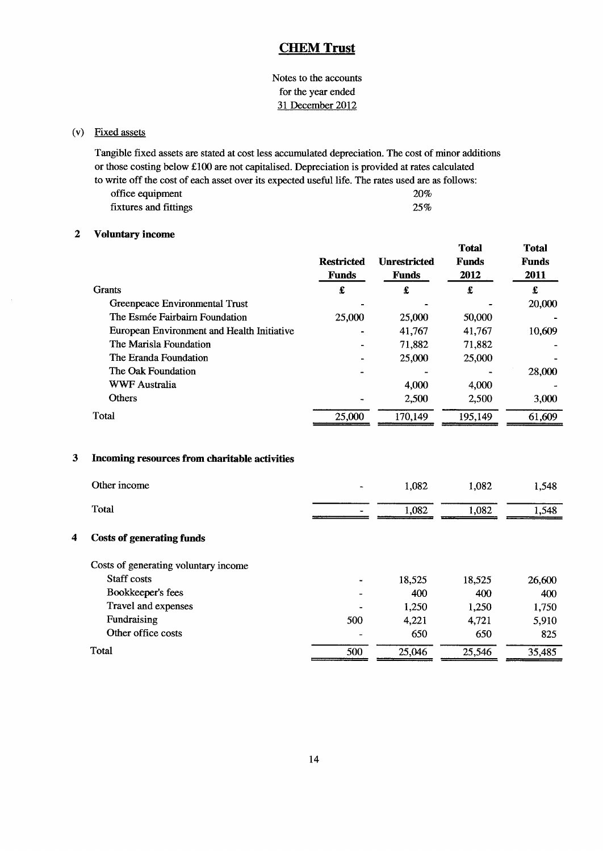Notes to the accounts for the year ended 31 December 2012

## (v) Fixed assets

Tangible fixed assets are stated at cost less accumulated depreciation. The cost of minor additions or those costing below f.100 are not capitalised. Depreciation is provided at rates calculated to write off the cost of each asset over its expected useful life. The rates used are as follows: office equipment 20% fixtures and fittings 25%

### 2 Voluntary income

|                                            | <b>Restricted</b><br><b>Funds</b> | <b>Unrestricted</b><br><b>Funds</b> | <b>Total</b><br><b>Funds</b><br>2012 | <b>Total</b><br><b>Funds</b><br>2011 |
|--------------------------------------------|-----------------------------------|-------------------------------------|--------------------------------------|--------------------------------------|
| <b>Grants</b>                              | £                                 | £                                   | £                                    | £                                    |
| Greenpeace Environmental Trust             |                                   |                                     |                                      | 20,000                               |
| The Esmée Fairbairn Foundation             | 25,000                            | 25,000                              | 50,000                               |                                      |
| European Environment and Health Initiative | $\overline{\phantom{0}}$          | 41,767                              | 41,767                               | 10,609                               |
| The Marisla Foundation                     |                                   | 71,882                              | 71,882                               |                                      |
| The Eranda Foundation                      |                                   | 25,000                              | 25,000                               |                                      |
| The Oak Foundation                         |                                   |                                     |                                      | 28,000                               |
| <b>WWF Australia</b>                       |                                   | 4,000                               | 4,000                                |                                      |
| <b>Others</b>                              |                                   | 2,500                               | 2,500                                | 3,000                                |
| Total                                      | 25,000                            | 170,149                             | 195,149                              | 61,609                               |

|   | Other income                         |     | 1,082  | 1,082  | 1,548  |
|---|--------------------------------------|-----|--------|--------|--------|
|   | Total                                |     | 1,082  | 1,082  | 1,548  |
| 4 | Costs of generating funds            |     |        |        |        |
|   | Costs of generating voluntary income |     |        |        |        |
|   | Staff costs                          |     | 18,525 | 18,525 | 26,600 |
|   | Bookkeeper's fees                    |     | 400    | 400    | 400    |
|   | Travel and expenses                  |     | 1,250  | 1,250  | 1,750  |
|   | Fundraising                          | 500 | 4,221  | 4,721  | 5,910  |
|   | Other office costs                   |     | 650    | 650    | 825    |
|   | Total                                | 500 | 25,046 | 25,546 | 35,485 |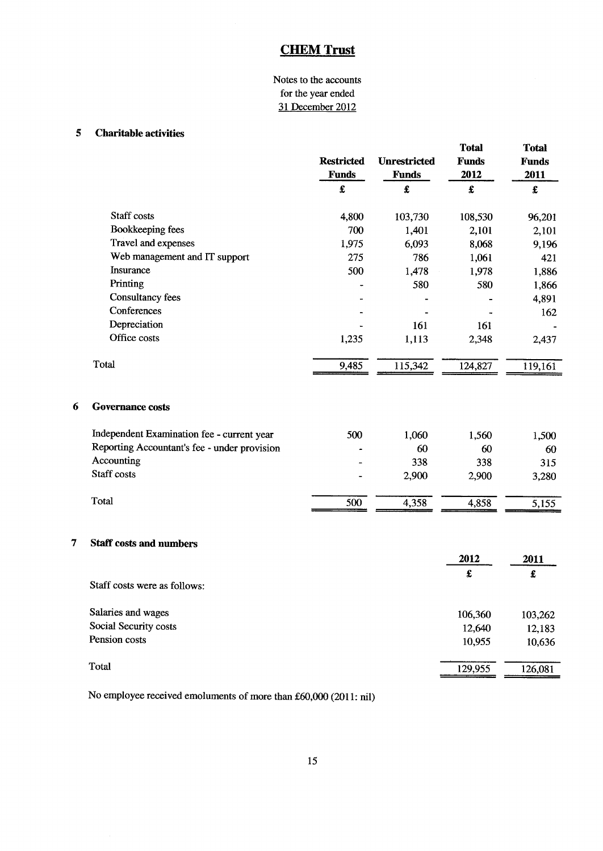## Notes to the accounts for the year ended 31 December 2012

### 5 Charitable activities

|   |                                              | <b>Restricted</b><br><b>Funds</b> | <b>Unrestricted</b><br><b>Funds</b> | <b>Total</b><br><b>Funds</b><br>2012 | <b>Total</b><br><b>Funds</b><br>2011 |
|---|----------------------------------------------|-----------------------------------|-------------------------------------|--------------------------------------|--------------------------------------|
|   |                                              | £                                 | $\pmb{\pmb{\pmb{\xi}}}$             | $\pmb{\pmb{\epsilon}}$               | $\pmb{\pmb{\pmb{\xi}}}$              |
|   | Staff costs                                  | 4,800                             | 103,730                             | 108,530                              | 96,201                               |
|   | Bookkeeping fees                             | 700                               | 1,401                               | 2,101                                | 2,101                                |
|   | Travel and expenses                          | 1,975                             | 6,093                               | 8,068                                | 9,196                                |
|   | Web management and IT support                | 275                               | 786                                 | 1,061                                | 421                                  |
|   | Insurance                                    | 500                               | 1,478                               | 1,978                                | 1,886                                |
|   | Printing                                     |                                   | 580                                 | 580                                  | 1,866                                |
|   | <b>Consultancy fees</b>                      |                                   |                                     |                                      | 4,891                                |
|   | Conferences                                  |                                   |                                     |                                      | 162                                  |
|   | Depreciation                                 |                                   | 161                                 | 161                                  |                                      |
|   | Office costs                                 | 1,235                             | 1,113                               | 2,348                                | 2,437                                |
|   | Total                                        | 9,485                             | 115,342                             | 124,827                              | 119,161                              |
| 6 | <b>Governance costs</b>                      |                                   |                                     |                                      |                                      |
|   | Independent Examination fee - current year   | 500                               | 1,060                               | 1,560                                | 1,500                                |
|   | Reporting Accountant's fee - under provision |                                   | 60                                  | 60                                   | 60                                   |
|   | Accounting                                   |                                   | 338                                 | 338                                  | 315                                  |
|   | Staff costs                                  |                                   | 2,900                               | 2,900                                | 3,280                                |
|   | Total                                        | 500                               | 4,358                               | 4,858                                | 5,155                                |
| 7 | <b>Staff costs and numbers</b>               |                                   |                                     |                                      |                                      |
|   |                                              |                                   |                                     | 2012                                 | 2011                                 |
|   | Staff costs were as follows:                 |                                   |                                     | £                                    | $\pmb{\pmb{\epsilon}}$               |
|   | Salaries and wages                           |                                   |                                     |                                      |                                      |
|   | Social Security costs                        |                                   |                                     | 106,360<br>12,640                    | 103,262                              |
|   | Pension costs                                |                                   |                                     | 10,955                               | 12,183<br>10,636                     |
|   |                                              |                                   |                                     |                                      |                                      |
|   | Total                                        |                                   |                                     | 129,955                              | 126,081                              |

No employee received emoluments of more than £60,000 (2011: nil)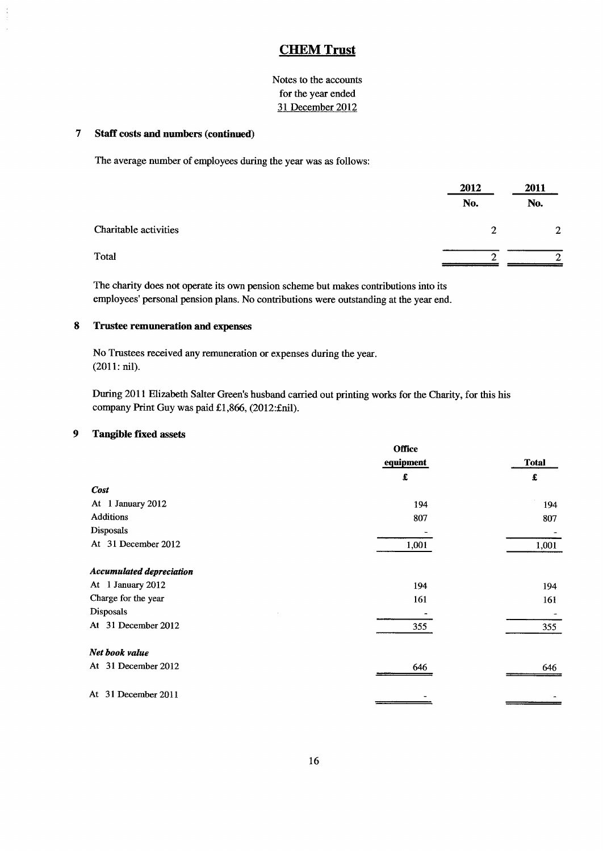Notes to the accounts for the year ended 31 December 2012

### 7 Staff costs and numbers (continued)

The average number of employees during the year was as follows:

|                       | 2012 | 2011         |  |
|-----------------------|------|--------------|--|
|                       | No.  | No.          |  |
| Charitable activities | 2    | $\mathbf{2}$ |  |
| Total                 | ⌒    | ◠            |  |

The charity does not operate its own pension scheme but makes contributions into its employees' personal pension plans. No contributions were outstanding at the year end.

### 8 Trustee remuneration and expenses

No Trustees received any remuneration or expenses during the year. (2011:nil).

During 2011 Elizabeth Salter Green's husband carried out printing works for the Charity, for this his company Print Guy was paid £1,866, (2012:£nil).

### 9 Tangible fixed assets

|                                 | <b>Office</b> |                        |
|---------------------------------|---------------|------------------------|
|                                 | equipment     | <b>Total</b>           |
|                                 | £             | $\pmb{\pmb{\epsilon}}$ |
| <b>Cost</b>                     |               |                        |
| At 1 January 2012               | 194           | 194                    |
| <b>Additions</b>                | 807           | 807                    |
| Disposals                       |               |                        |
| At 31 December 2012             | 1,001         | 1,001                  |
| <b>Accumulated depreciation</b> |               |                        |
| At 1 January 2012               | 194           | 194                    |
| Charge for the year             | 161           | 161                    |
| Disposals                       |               |                        |
| At 31 December 2012             | 355           | 355                    |
| Net book value                  |               |                        |
| At 31 December 2012             | 646           | 646                    |
| At 31 December 2011             |               |                        |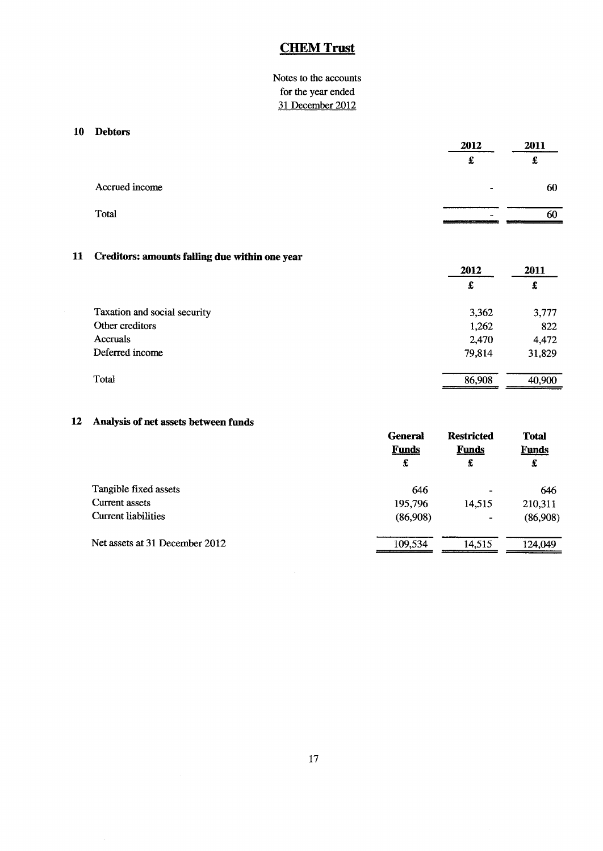## Notes to the accounts for the year ended 31 December 2012

### 10 Debtors

|                | 2012   | 2011   |  |
|----------------|--------|--------|--|
|                | ۰.     | c<br>t |  |
| Accrued income | $\sim$ | 60     |  |
| Total          | -      | 60     |  |

### 11 Creditors: amounts falling due within one year

|                              | 2012   | 2011   |
|------------------------------|--------|--------|
|                              | £      | £      |
| Taxation and social security | 3,362  | 3,777  |
| Other creditors              | 1,262  | 822    |
| Accruals                     | 2,470  | 4,472  |
| Deferred income              | 79,814 | 31,829 |
| Total                        | 86,908 | 40,900 |

### 12 Analysis of net assets between funds

|                                | <b>General</b><br><b>Funds</b><br>£ | <b>Restricted</b><br><b>Funds</b><br>£ | <b>Total</b><br><b>Funds</b><br>£ |
|--------------------------------|-------------------------------------|----------------------------------------|-----------------------------------|
| Tangible fixed assets          | 646                                 | $\blacksquare$                         | 646                               |
| Current assets                 | 195,796                             | 14,515                                 | 210,311                           |
| <b>Current liabilities</b>     | (86,908)                            | ۰                                      | (86,908)                          |
| Net assets at 31 December 2012 | 109,534                             | 14.515                                 | 124,049                           |